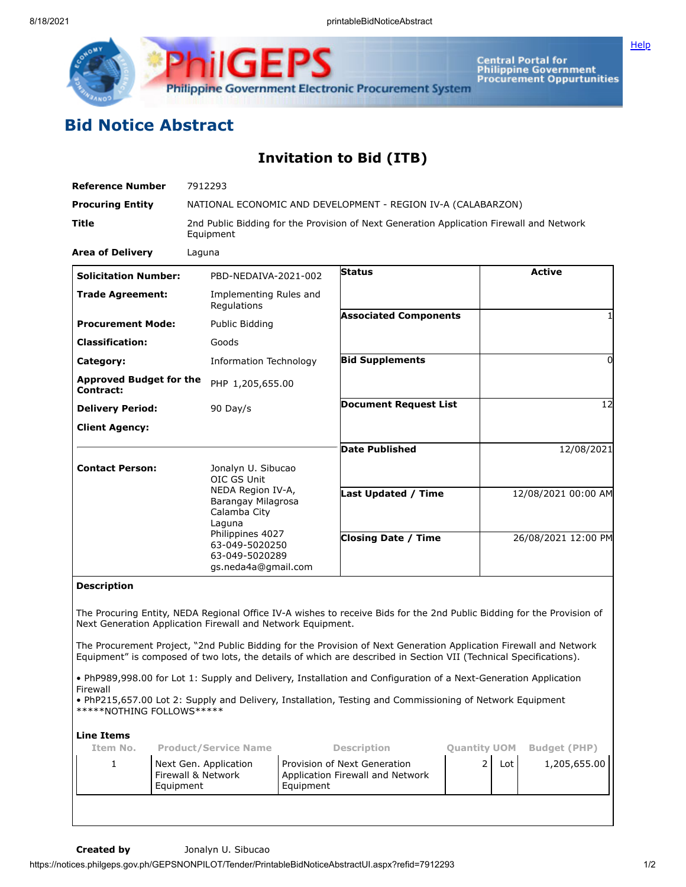

Central Portal for<br>Philippine Government<br>Procurement Oppurtunities

## **Bid Notice Abstract**

## **Invitation to Bid (ITB)**

| <b>Reference Number</b>                                     |                                                                                                       | 7912293                                                                                                                                                                               |  |                                                                                                                                                                                                                                         |                     |     |                     |
|-------------------------------------------------------------|-------------------------------------------------------------------------------------------------------|---------------------------------------------------------------------------------------------------------------------------------------------------------------------------------------|--|-----------------------------------------------------------------------------------------------------------------------------------------------------------------------------------------------------------------------------------------|---------------------|-----|---------------------|
| <b>Procuring Entity</b>                                     |                                                                                                       |                                                                                                                                                                                       |  | NATIONAL ECONOMIC AND DEVELOPMENT - REGION IV-A (CALABARZON)                                                                                                                                                                            |                     |     |                     |
| Title                                                       | 2nd Public Bidding for the Provision of Next Generation Application Firewall and Network<br>Equipment |                                                                                                                                                                                       |  |                                                                                                                                                                                                                                         |                     |     |                     |
| <b>Area of Delivery</b>                                     |                                                                                                       | Laguna                                                                                                                                                                                |  |                                                                                                                                                                                                                                         |                     |     |                     |
| <b>Solicitation Number:</b>                                 |                                                                                                       | PBD-NEDAIVA-2021-002                                                                                                                                                                  |  | <b>Status</b>                                                                                                                                                                                                                           |                     |     | <b>Active</b>       |
| <b>Trade Agreement:</b>                                     |                                                                                                       | Implementing Rules and<br>Regulations                                                                                                                                                 |  |                                                                                                                                                                                                                                         |                     |     |                     |
| <b>Procurement Mode:</b>                                    |                                                                                                       | Public Bidding                                                                                                                                                                        |  | <b>Associated Components</b>                                                                                                                                                                                                            |                     |     | 1                   |
| <b>Classification:</b>                                      |                                                                                                       | Goods                                                                                                                                                                                 |  |                                                                                                                                                                                                                                         |                     |     |                     |
| Category:                                                   |                                                                                                       | <b>Information Technology</b>                                                                                                                                                         |  | <b>Bid Supplements</b>                                                                                                                                                                                                                  |                     |     | 0                   |
| <b>Approved Budget for the</b><br>Contract:                 |                                                                                                       | PHP 1,205,655.00                                                                                                                                                                      |  |                                                                                                                                                                                                                                         |                     |     |                     |
| <b>Delivery Period:</b>                                     |                                                                                                       | 90 Day/s                                                                                                                                                                              |  | <b>Document Request List</b>                                                                                                                                                                                                            |                     |     | 12                  |
| <b>Client Agency:</b>                                       |                                                                                                       |                                                                                                                                                                                       |  |                                                                                                                                                                                                                                         |                     |     |                     |
|                                                             |                                                                                                       |                                                                                                                                                                                       |  | <b>Date Published</b>                                                                                                                                                                                                                   |                     |     | 12/08/2021          |
| <b>Contact Person:</b>                                      |                                                                                                       | Jonalyn U. Sibucao<br>OIC GS Unit<br>NEDA Region IV-A,<br>Barangay Milagrosa<br>Calamba City<br>Laguna<br>Philippines 4027<br>63-049-5020250<br>63-049-5020289<br>gs.neda4a@gmail.com |  |                                                                                                                                                                                                                                         |                     |     |                     |
|                                                             |                                                                                                       |                                                                                                                                                                                       |  | Last Updated / Time                                                                                                                                                                                                                     |                     |     | 12/08/2021 00:00 AM |
|                                                             |                                                                                                       |                                                                                                                                                                                       |  | <b>Closing Date / Time</b>                                                                                                                                                                                                              |                     |     | 26/08/2021 12:00 PM |
| <b>Description</b>                                          |                                                                                                       |                                                                                                                                                                                       |  |                                                                                                                                                                                                                                         |                     |     |                     |
| Next Generation Application Firewall and Network Equipment. |                                                                                                       |                                                                                                                                                                                       |  | The Procuring Entity, NEDA Regional Office IV-A wishes to receive Bids for the 2nd Public Bidding for the Provision of                                                                                                                  |                     |     |                     |
|                                                             |                                                                                                       |                                                                                                                                                                                       |  | The Procurement Project, "2nd Public Bidding for the Provision of Next Generation Application Firewall and Network<br>Equipment" is composed of two lots, the details of which are described in Section VII (Technical Specifications). |                     |     |                     |
| Firewall<br>*****NOTHING FOLLOWS*****                       |                                                                                                       |                                                                                                                                                                                       |  | . PhP989,998.00 for Lot 1: Supply and Delivery, Installation and Configuration of a Next-Generation Application<br>. PhP215,657.00 Lot 2: Supply and Delivery, Installation, Testing and Commissioning of Network Equipment             |                     |     |                     |
| <b>Line Items</b>                                           |                                                                                                       |                                                                                                                                                                                       |  |                                                                                                                                                                                                                                         |                     |     |                     |
| Item No.                                                    |                                                                                                       | <b>Product/Service Name</b>                                                                                                                                                           |  | Description                                                                                                                                                                                                                             | <b>Quantity UOM</b> |     | <b>Budget (PHP)</b> |
| 1                                                           | Next Gen. Application<br>Firewall & Network                                                           |                                                                                                                                                                                       |  | Provision of Next Generation<br>Application Firewall and Network                                                                                                                                                                        | $\overline{2}$      | Lot | 1,205,655.00        |

**[Help](javascript:void(window.open()** 

Equipment

Equipment